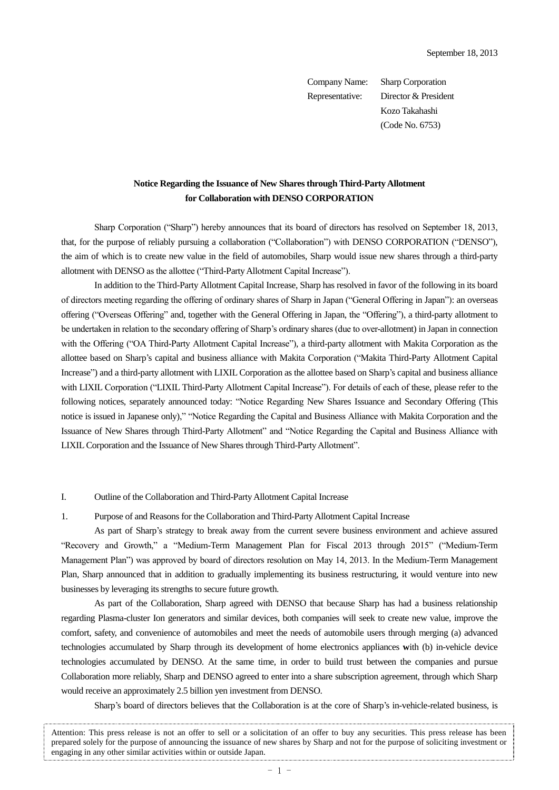Company Name: Sharp Corporation Representative: Director & President Kozo Takahashi (Code No. 6753)

# **Notice Regarding the Issuance of New Shares through Third-Party Allotment for Collaboration with DENSO CORPORATION**

Sharp Corporation ("Sharp") hereby announces that its board of directors has resolved on September 18, 2013, that, for the purpose of reliably pursuing a collaboration ("Collaboration") with DENSO CORPORATION ("DENSO"), the aim of which is to create new value in the field of automobiles, Sharp would issue new shares through a third-party allotment with DENSO as the allottee ("Third-Party Allotment Capital Increase").

In addition to the Third-Party Allotment Capital Increase, Sharp has resolved in favor of the following in its board of directors meeting regarding the offering of ordinary shares of Sharp in Japan ("General Offering in Japan"): an overseas offering ("Overseas Offering" and, together with the General Offering in Japan, the "Offering"), a third-party allotment to be undertaken in relation to the secondary offering of Sharp's ordinary shares (due to over-allotment) in Japan in connection with the Offering ("OA Third-Party Allotment Capital Increase"), a third-party allotment with Makita Corporation as the allottee based on Sharp's capital and business alliance with Makita Corporation ("Makita Third-Party Allotment Capital Increase") and a third-party allotment with LIXIL Corporation as the allottee based on Sharp's capital and business alliance with LIXIL Corporation ("LIXIL Third-Party Allotment Capital Increase"). For details of each of these, please refer to the following notices, separately announced today: "Notice Regarding New Shares Issuance and Secondary Offering (This notice is issued in Japanese only)," "Notice Regarding the Capital and Business Alliance with Makita Corporation and the Issuance of New Shares through Third-Party Allotment" and "Notice Regarding the Capital and Business Alliance with LIXILCorporation and the Issuance of New Shares through Third-Party Allotment".

### I. Outline of the Collaboration and Third-Party Allotment Capital Increase

# 1. Purpose of and Reasons for the Collaboration and Third-Party Allotment Capital Increase

As part of Sharp's strategy to break away from the current severe business environment and achieve assured "Recovery and Growth," a "Medium-Term Management Plan for Fiscal 2013 through 2015" ("Medium-Term Management Plan") was approved by board of directors resolution on May 14, 2013. In the Medium-Term Management Plan, Sharp announced that in addition to gradually implementing its business restructuring, it would venture into new businesses by leveraging its strengths to secure future growth.

As part of the Collaboration, Sharp agreed with DENSO that because Sharp has had a business relationship regarding Plasma-cluster Ion generators and similar devices, both companies will seek to create new value, improve the comfort, safety, and convenience of automobiles and meet the needs of automobile users through merging (a) advanced technologies accumulated by Sharp through its development of home electronics appliances **w**ith (b) in-vehicle device technologies accumulated by DENSO. At the same time, in order to build trust between the companies and pursue Collaboration more reliably, Sharp and DENSO agreed to enter into a share subscription agreement, through which Sharp would receive an approximately 2.5 billion yen investment from DENSO.

Sharp's board of directors believes that the Collaboration is at the core of Sharp's in-vehicle-related business, is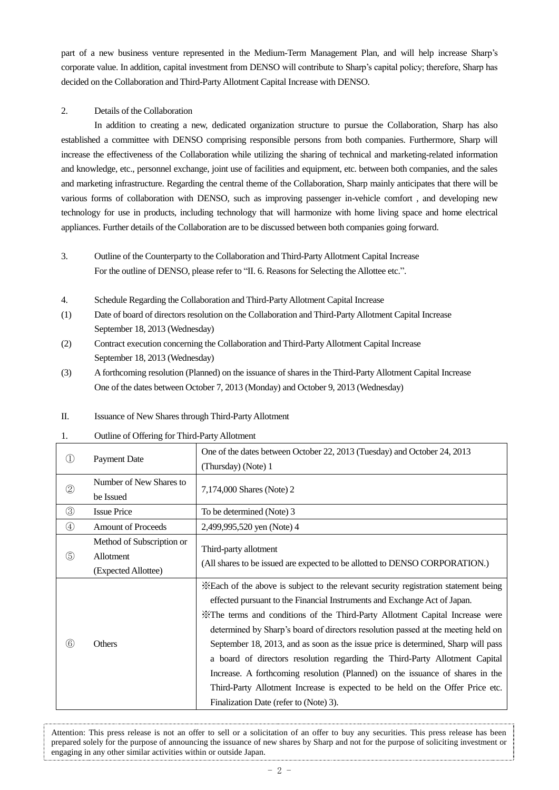part of a new business venture represented in the Medium-Term Management Plan, and will help increase Sharp's corporate value. In addition, capital investment from DENSO will contribute to Sharp's capital policy; therefore, Sharp has decided on the Collaboration and Third-Party Allotment Capital Increase with DENSO.

# 2. Details of the Collaboration

In addition to creating a new, dedicated organization structure to pursue the Collaboration, Sharp has also established a committee with DENSO comprising responsible persons from both companies. Furthermore, Sharp will increase the effectiveness of the Collaboration while utilizing the sharing of technical and marketing-related information and knowledge, etc., personnel exchange, joint use of facilities and equipment, etc. between both companies, and the sales and marketing infrastructure. Regarding the central theme of the Collaboration, Sharp mainly anticipates that there will be various forms of collaboration with DENSO, such as improving passenger in-vehicle comfort , and developing new technology for use in products, including technology that will harmonize with home living space and home electrical appliances. Further details of the Collaboration are to be discussed between both companies going forward.

- 3. Outline of the Counterparty to the Collaboration and Third-Party Allotment Capital Increase For the outline of DENSO, please refer to "II. 6. Reasons for Selecting the Allottee etc.".
- 4. Schedule Regarding the Collaboration and Third-Party Allotment Capital Increase
- (1) Date of board of directors resolution on the Collaboration and Third-Party Allotment Capital Increase September 18, 2013 (Wednesday)
- (2) Contract execution concerning the Collaboration and Third-Party Allotment Capital Increase September 18, 2013 (Wednesday)
- (3) A forthcoming resolution (Planned) on the issuance of shares in the Third-Party Allotment Capital Increase One of the dates between October 7, 2013 (Monday) and October 9, 2013 (Wednesday)

# II. Issuance of New Shares through Third-Party Allotment

# 1. Outline of Offering for Third-Party Allotment

| $\left( 1\right)$ | <b>Payment Date</b>                                           | One of the dates between October 22, 2013 (Tuesday) and October 24, 2013<br>(Thursday) (Note) 1                                                                                                                                                                                                                                                                                                                                                                                                                                                                                                                                                                                                                        |
|-------------------|---------------------------------------------------------------|------------------------------------------------------------------------------------------------------------------------------------------------------------------------------------------------------------------------------------------------------------------------------------------------------------------------------------------------------------------------------------------------------------------------------------------------------------------------------------------------------------------------------------------------------------------------------------------------------------------------------------------------------------------------------------------------------------------------|
| $\circled{2}$     | Number of New Shares to<br>be Issued                          | 7,174,000 Shares (Note) 2                                                                                                                                                                                                                                                                                                                                                                                                                                                                                                                                                                                                                                                                                              |
| $\circled{3}$     | <b>Issue Price</b>                                            | To be determined (Note) 3                                                                                                                                                                                                                                                                                                                                                                                                                                                                                                                                                                                                                                                                                              |
| $\circled{4}$     | <b>Amount of Proceeds</b>                                     | 2,499,995,520 yen (Note) 4                                                                                                                                                                                                                                                                                                                                                                                                                                                                                                                                                                                                                                                                                             |
| $\circledS$       | Method of Subscription or<br>Allotment<br>(Expected Allottee) | Third-party allotment<br>(All shares to be issued are expected to be allotted to DENSO CORPORATION.)                                                                                                                                                                                                                                                                                                                                                                                                                                                                                                                                                                                                                   |
| (6)               | Others                                                        | *Each of the above is subject to the relevant security registration statement being<br>effected pursuant to the Financial Instruments and Exchange Act of Japan.<br>X The terms and conditions of the Third-Party Allotment Capital Increase were<br>determined by Sharp's board of directors resolution passed at the meeting held on<br>September 18, 2013, and as soon as the issue price is determined, Sharp will pass<br>a board of directors resolution regarding the Third-Party Allotment Capital<br>Increase. A forthcoming resolution (Planned) on the issuance of shares in the<br>Third-Party Allotment Increase is expected to be held on the Offer Price etc.<br>Finalization Date (refer to (Note) 3). |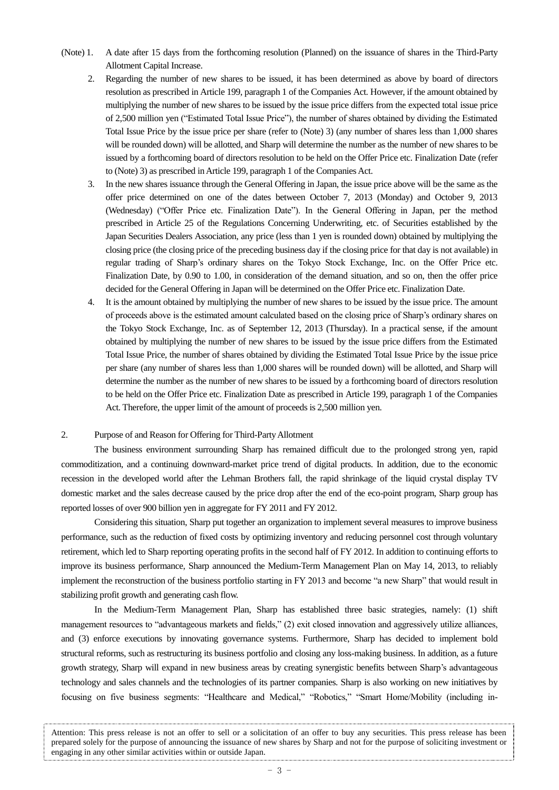- (Note) 1. A date after 15 days from the forthcoming resolution (Planned) on the issuance of shares in the Third-Party Allotment Capital Increase.
	- 2. Regarding the number of new shares to be issued, it has been determined as above by board of directors resolution as prescribed in Article 199, paragraph 1 of the Companies Act. However, if the amount obtained by multiplying the number of new shares to be issued by the issue price differs from the expected total issue price of 2,500 million yen ("Estimated Total Issue Price"), the number of shares obtained by dividing the Estimated Total Issue Price by the issue price per share (refer to (Note) 3) (any number of shares less than 1,000 shares will be rounded down) will be allotted, and Sharp will determine the number as the number of new shares to be issued by a forthcoming board of directors resolution to be held on the Offer Price etc. Finalization Date (refer to (Note) 3) as prescribed in Article 199, paragraph 1 of the Companies Act.
	- 3. In the new shares issuance through the General Offering in Japan, the issue price above will be the same as the offer price determined on one of the dates between October 7, 2013 (Monday) and October 9, 2013 (Wednesday) ("Offer Price etc. Finalization Date"). In the General Offering in Japan, per the method prescribed in Article 25 of the Regulations Concerning Underwriting, etc. of Securities established by the Japan Securities Dealers Association, any price (less than 1 yen is rounded down) obtained by multiplying the closing price (the closing price of the preceding business day if the closing price for that day is not available) in regular trading of Sharp's ordinary shares on the Tokyo Stock Exchange, Inc. on the Offer Price etc. Finalization Date, by 0.90 to 1.00, in consideration of the demand situation, and so on, then the offer price decided for the General Offering in Japan will be determined on the Offer Price etc. Finalization Date.
	- 4. It is the amount obtained by multiplying the number of new shares to be issued by the issue price. The amount of proceeds above is the estimated amount calculated based on the closing price of Sharp's ordinary shares on the Tokyo Stock Exchange, Inc. as of September 12, 2013 (Thursday). In a practical sense, if the amount obtained by multiplying the number of new shares to be issued by the issue price differs from the Estimated Total Issue Price, the number of shares obtained by dividing the Estimated Total Issue Price by the issue price per share (any number of shares less than 1,000 shares will be rounded down) will be allotted, and Sharp will determine the number as the number of new shares to be issued by a forthcoming board of directors resolution to be held on the Offer Price etc. Finalization Date as prescribed in Article 199, paragraph 1 of the Companies Act. Therefore, the upper limit of the amount of proceeds is 2,500 million yen.

### 2. Purpose of and Reason for Offering for Third-Party Allotment

The business environment surrounding Sharp has remained difficult due to the prolonged strong yen, rapid commoditization, and a continuing downward-market price trend of digital products. In addition, due to the economic recession in the developed world after the Lehman Brothers fall, the rapid shrinkage of the liquid crystal display TV domestic market and the sales decrease caused by the price drop after the end of the eco-point program, Sharp group has reported losses of over 900 billion yen in aggregate for FY 2011 and FY 2012.

Considering this situation, Sharp put together an organization to implement several measures to improve business performance, such as the reduction of fixed costs by optimizing inventory and reducing personnel cost through voluntary retirement, which led to Sharp reporting operating profits in the second half of FY 2012. In addition to continuing efforts to improve its business performance, Sharp announced the Medium-Term Management Plan on May 14, 2013, to reliably implement the reconstruction of the business portfolio starting in FY 2013 and become "a new Sharp" that would result in stabilizing profit growth and generating cash flow.

In the Medium-Term Management Plan, Sharp has established three basic strategies, namely: (1) shift management resources to "advantageous markets and fields," (2) exit closed innovation and aggressively utilize alliances, and (3) enforce executions by innovating governance systems. Furthermore, Sharp has decided to implement bold structural reforms, such as restructuring its business portfolio and closing any loss-making business. In addition, as a future growth strategy, Sharp will expand in new business areas by creating synergistic benefits between Sharp's advantageous technology and sales channels and the technologies of its partner companies. Sharp is also working on new initiatives by focusing on five business segments: "Healthcare and Medical," "Robotics," "Smart Home/Mobility (including in-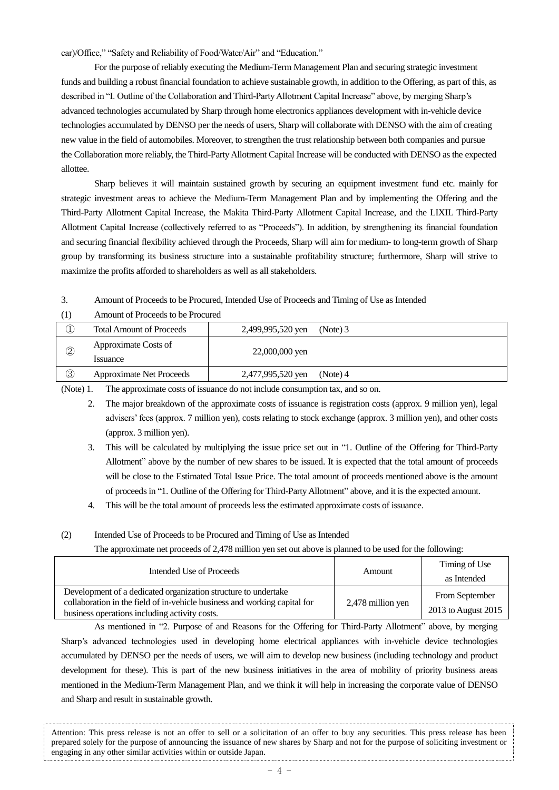car)/Office," "Safety and Reliability of Food/Water/Air" and "Education."

For the purpose of reliably executing the Medium-Term Management Plan and securing strategic investment funds and building a robust financial foundation to achieve sustainable growth, in addition to the Offering, as part of this, as described in "I. Outline of the Collaboration and Third-Party Allotment Capital Increase" above, by merging Sharp's advanced technologies accumulated by Sharp through home electronics appliances development with in-vehicle device technologies accumulated by DENSO per the needs of users, Sharp will collaborate with DENSO with the aim of creating new value in the field of automobiles. Moreover, to strengthen the trust relationship between both companies and pursue the Collaboration more reliably, the Third-Party Allotment Capital Increase will be conducted with DENSO as the expected allottee.

Sharp believes it will maintain sustained growth by securing an equipment investment fund etc. mainly for strategic investment areas to achieve the Medium-Term Management Plan and by implementing the Offering and the Third-Party Allotment Capital Increase, the Makita Third-Party Allotment Capital Increase, and the LIXIL Third-Party Allotment Capital Increase (collectively referred to as "Proceeds"). In addition, by strengthening its financial foundation and securing financial flexibility achieved through the Proceeds, Sharp will aim for medium- to long-term growth of Sharp group by transforming its business structure into a sustainable profitability structure; furthermore, Sharp will strive to maximize the profits afforded to shareholders as well as all stakeholders.

3. Amount of Proceeds to be Procured, Intended Use of Proceeds and Timing of Use as Intended

(1) Amount of Proceeds to be Procured

|                | <b>Total Amount of Proceeds</b>  | 2,499,995,520 yen | (Note) 3 |
|----------------|----------------------------------|-------------------|----------|
| $^{\circledR}$ | Approximate Costs of<br>Issuance | 22,000,000 yen    |          |
| ③              | <b>Approximate Net Proceeds</b>  | 2,477,995,520 yen | (Note) 4 |

(Note) 1. The approximate costs of issuance do not include consumption tax, and so on.

- 2. The major breakdown of the approximate costs of issuance is registration costs (approx. 9 million yen), legal advisers' fees (approx. 7 million yen), costs relating to stock exchange (approx. 3 million yen), and other costs (approx. 3 million yen).
- 3. This will be calculated by multiplying the issue price set out in "1. Outline of the Offering for Third-Party Allotment" above by the number of new shares to be issued. It is expected that the total amount of proceeds will be close to the Estimated Total Issue Price. The total amount of proceeds mentioned above is the amount of proceeds in "1. Outline of the Offering for Third-Party Allotment" above, and it is the expected amount.
- 4. This will be the total amount of proceeds less the estimated approximate costs of issuance.

### (2) Intended Use of Proceeds to be Procured and Timing of Use as Intended

The approximate net proceeds of 2,478 million yen set out above is planned to be used for the following:

| Intended Use of Proceeds                                                                                                                                                                     | Amount            | Timing of Use<br>as Intended          |
|----------------------------------------------------------------------------------------------------------------------------------------------------------------------------------------------|-------------------|---------------------------------------|
| Development of a dedicated organization structure to undertake<br>collaboration in the field of in-vehicle business and working capital for<br>business operations including activity costs. | 2,478 million yen | From September<br>2013 to August 2015 |

As mentioned in "2. Purpose of and Reasons for the Offering for Third-Party Allotment" above, by merging Sharp's advanced technologies used in developing home electrical appliances with in-vehicle device technologies accumulated by DENSO per the needs of users, we will aim to develop new business (including technology and product development for these). This is part of the new business initiatives in the area of mobility of priority business areas mentioned in the Medium-Term Management Plan, and we think it will help in increasing the corporate value of DENSO and Sharp and result in sustainable growth.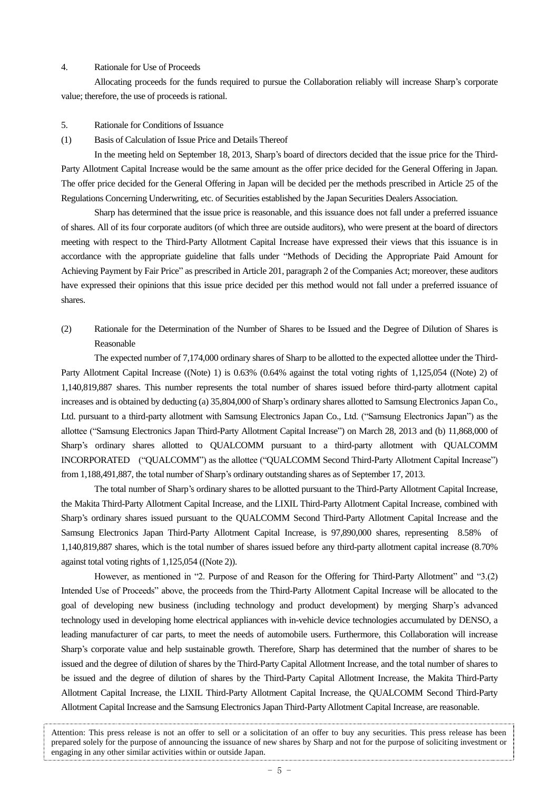# 4. Rationale for Use of Proceeds

Allocating proceeds for the funds required to pursue the Collaboration reliably will increase Sharp's corporate value; therefore, the use of proceeds is rational.

- 5. Rationale for Conditions of Issuance
- (1) Basis of Calculation of Issue Price and Details Thereof

In the meeting held on September 18, 2013, Sharp's board of directors decided that the issue price for the Third-Party Allotment Capital Increase would be the same amount as the offer price decided for the General Offering in Japan. The offer price decided for the General Offering in Japan will be decided per the methods prescribed in Article 25 of the Regulations Concerning Underwriting, etc. of Securities established by the Japan Securities Dealers Association.

Sharp has determined that the issue price is reasonable, and this issuance does not fall under a preferred issuance of shares. All of its four corporate auditors (of which three are outside auditors), who were present at the board of directors meeting with respect to the Third-Party Allotment Capital Increase have expressed their views that this issuance is in accordance with the appropriate guideline that falls under "Methods of Deciding the Appropriate Paid Amount for Achieving Payment by Fair Price" as prescribed in Article 201, paragraph 2 of the Companies Act; moreover, these auditors have expressed their opinions that this issue price decided per this method would not fall under a preferred issuance of shares.

(2) Rationale for the Determination of the Number of Shares to be Issued and the Degree of Dilution of Shares is Reasonable

The expected number of 7,174,000 ordinary shares of Sharp to be allotted to the expected allottee under the Third-Party Allotment Capital Increase ((Note) 1) is 0.63% (0.64% against the total voting rights of 1,125,054 ((Note) 2) of 1,140,819,887 shares. This number represents the total number of shares issued before third-party allotment capital increases and is obtained by deducting (a) 35,804,000 of Sharp's ordinary shares allotted to Samsung Electronics Japan Co., Ltd. pursuant to a third-party allotment with Samsung Electronics Japan Co., Ltd. ("Samsung Electronics Japan") as the allottee ("Samsung Electronics Japan Third-Party Allotment Capital Increase") on March 28, 2013 and (b) 11,868,000 of Sharp's ordinary shares allotted to QUALCOMM pursuant to a third-party allotment with QUALCOMM INCORPORATED ("QUALCOMM") as the allottee ("QUALCOMM Second Third-Party Allotment Capital Increase") from 1,188,491,887, the total number of Sharp's ordinary outstanding shares as of September 17, 2013.

The total number of Sharp's ordinary shares to be allotted pursuant to the Third-Party Allotment Capital Increase, the Makita Third-Party Allotment Capital Increase, and the LIXIL Third-Party Allotment Capital Increase, combined with Sharp's ordinary shares issued pursuant to the QUALCOMM Second Third-Party Allotment Capital Increase and the Samsung Electronics Japan Third-Party Allotment Capital Increase, is 97,890,000 shares, representing 8.58% of 1,140,819,887 shares, which is the total number of shares issued before any third-party allotment capital increase (8.70% against total voting rights of 1,125,054 ((Note 2)).

However, as mentioned in "2. Purpose of and Reason for the Offering for Third-Party Allotment" and "3.(2) Intended Use of Proceeds" above, the proceeds from the Third-Party Allotment Capital Increase will be allocated to the goal of developing new business (including technology and product development) by merging Sharp's advanced technology used in developing home electrical appliances with in-vehicle device technologies accumulated by DENSO, a leading manufacturer of car parts, to meet the needs of automobile users. Furthermore, this Collaboration will increase Sharp's corporate value and help sustainable growth. Therefore, Sharp has determined that the number of shares to be issued and the degree of dilution of shares by the Third-Party Capital Allotment Increase, and the total number of shares to be issued and the degree of dilution of shares by the Third-Party Capital Allotment Increase, the Makita Third-Party Allotment Capital Increase, the LIXIL Third-Party Allotment Capital Increase, the QUALCOMM Second Third-Party Allotment Capital Increase and the Samsung Electronics Japan Third-Party Allotment Capital Increase, are reasonable.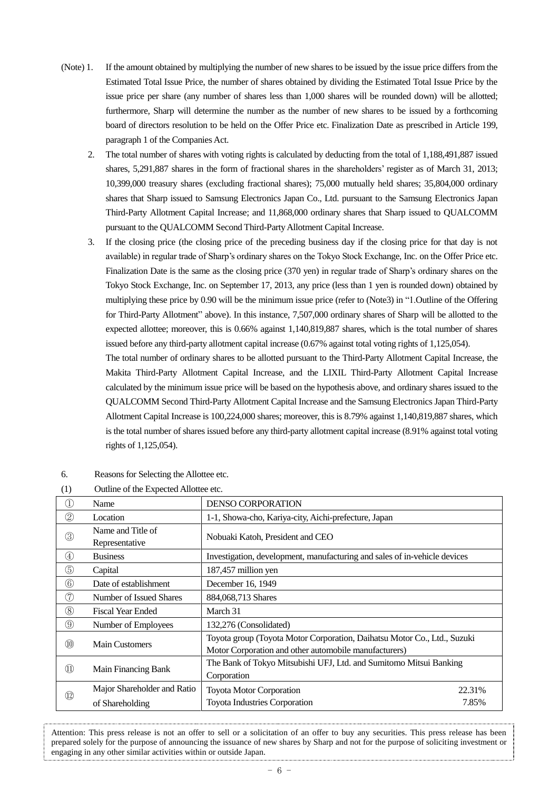- (Note) 1. If the amount obtained by multiplying the number of new shares to be issued by the issue price differs from the Estimated Total Issue Price, the number of shares obtained by dividing the Estimated Total Issue Price by the issue price per share (any number of shares less than 1,000 shares will be rounded down) will be allotted; furthermore, Sharp will determine the number as the number of new shares to be issued by a forthcoming board of directors resolution to be held on the Offer Price etc. Finalization Date as prescribed in Article 199, paragraph 1 of the Companies Act.
	- 2. The total number of shares with voting rights is calculated by deducting from the total of 1,188,491,887 issued shares, 5,291,887 shares in the form of fractional shares in the shareholders' register as of March 31, 2013; 10,399,000 treasury shares (excluding fractional shares); 75,000 mutually held shares; 35,804,000 ordinary shares that Sharp issued to Samsung Electronics Japan Co., Ltd. pursuant to the Samsung Electronics Japan Third-Party Allotment Capital Increase; and 11,868,000 ordinary shares that Sharp issued to QUALCOMM pursuant to the QUALCOMM Second Third-Party Allotment Capital Increase.
	- 3. If the closing price (the closing price of the preceding business day if the closing price for that day is not available) in regular trade of Sharp's ordinary shares on the Tokyo Stock Exchange, Inc. on the Offer Price etc. Finalization Date is the same as the closing price (370 yen) in regular trade of Sharp's ordinary shares on the Tokyo Stock Exchange, Inc. on September 17, 2013, any price (less than 1 yen is rounded down) obtained by multiplying these price by 0.90 will be the minimum issue price (refer to (Note3) in "1.Outline of the Offering for Third-Party Allotment" above). In this instance, 7,507,000 ordinary shares of Sharp will be allotted to the expected allottee; moreover, this is 0.66% against 1,140,819,887 shares, which is the total number of shares issued before any third-party allotment capital increase (0.67% against total voting rights of 1,125,054).

The total number of ordinary shares to be allotted pursuant to the Third-Party Allotment Capital Increase, the Makita Third-Party Allotment Capital Increase, and the LIXIL Third-Party Allotment Capital Increase calculated by the minimum issue price will be based on the hypothesis above, and ordinary shares issued to the QUALCOMM Second Third-Party Allotment Capital Increase and the Samsung Electronics Japan Third-Party Allotment Capital Increase is 100,224,000 shares; moreover, this is 8.79% against 1,140,819,887 shares, which is the total number of shares issued before any third-party allotment capital increase (8.91% against total voting rights of 1,125,054).

| $\rightarrow$                  |                                     |                                                                                                                                   |        |  |
|--------------------------------|-------------------------------------|-----------------------------------------------------------------------------------------------------------------------------------|--------|--|
| $\bigcirc$                     | Name                                | <b>DENSO CORPORATION</b>                                                                                                          |        |  |
| $\circled{2}$                  | Location                            | 1-1, Showa-cho, Kariya-city, Aichi-prefecture, Japan                                                                              |        |  |
| $\circledS$                    | Name and Title of<br>Representative | Nobuaki Katoh, President and CEO                                                                                                  |        |  |
| $\circled{4}$                  | <b>Business</b>                     | Investigation, development, manufacturing and sales of in-vehicle devices                                                         |        |  |
| $\circledS$                    | Capital                             | 187,457 million yen                                                                                                               |        |  |
| $\circledS$                    | Date of establishment               | December 16, 1949                                                                                                                 |        |  |
| $\circledT$                    | Number of Issued Shares             | 884,068,713 Shares                                                                                                                |        |  |
| $^{\circledR}$                 | <b>Fiscal Year Ended</b>            | March 31                                                                                                                          |        |  |
| $\circled{9}$                  | Number of Employees                 | 132,276 (Consolidated)                                                                                                            |        |  |
| $^{\circledR}$                 | <b>Main Customers</b>               | Toyota group (Toyota Motor Corporation, Daihatsu Motor Co., Ltd., Suzuki<br>Motor Corporation and other automobile manufacturers) |        |  |
| $\textcircled{\scriptsize{1}}$ | Main Financing Bank                 | The Bank of Tokyo Mitsubishi UFJ, Ltd. and Sumitomo Mitsui Banking<br>Corporation                                                 |        |  |
|                                | Major Shareholder and Ratio         | Toyota Motor Corporation                                                                                                          | 22.31% |  |
| $^{\textcircled{\tiny 2}}$     | of Shareholding                     | <b>Toyota Industries Corporation</b>                                                                                              | 7.85%  |  |

6. Reasons for Selecting the Allottee etc.

| Outline of the Expected Allottee etc.<br>(1) |  |
|----------------------------------------------|--|
|----------------------------------------------|--|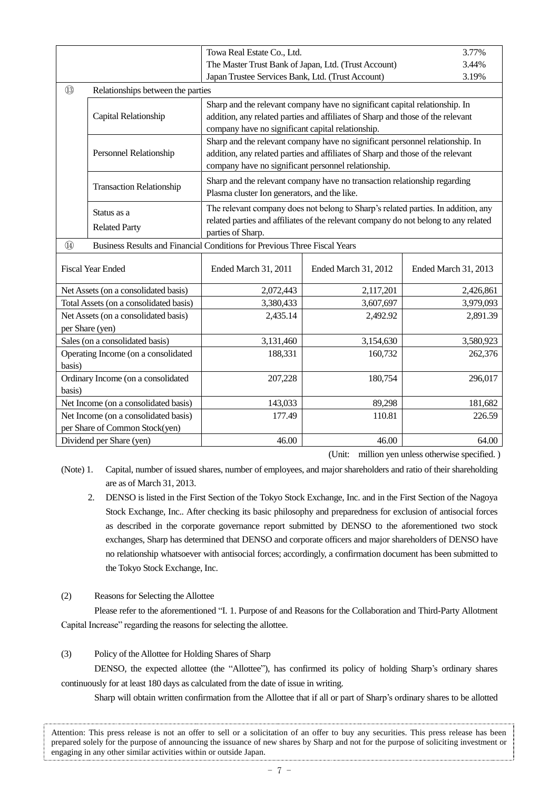|        |                                                                                            | Towa Real Estate Co., Ltd.                          |                                                                                                                                                                          | 3.77%                |  |  |  |
|--------|--------------------------------------------------------------------------------------------|-----------------------------------------------------|--------------------------------------------------------------------------------------------------------------------------------------------------------------------------|----------------------|--|--|--|
|        |                                                                                            |                                                     | The Master Trust Bank of Japan, Ltd. (Trust Account)                                                                                                                     |                      |  |  |  |
|        |                                                                                            |                                                     | Japan Trustee Services Bank, Ltd. (Trust Account)<br>3.19%                                                                                                               |                      |  |  |  |
| (13)   | Relationships between the parties                                                          |                                                     |                                                                                                                                                                          |                      |  |  |  |
|        | Capital Relationship                                                                       |                                                     | Sharp and the relevant company have no significant capital relationship. In<br>addition, any related parties and affiliates of Sharp and those of the relevant           |                      |  |  |  |
|        |                                                                                            | company have no significant capital relationship.   |                                                                                                                                                                          |                      |  |  |  |
|        |                                                                                            |                                                     | Sharp and the relevant company have no significant personnel relationship. In                                                                                            |                      |  |  |  |
|        | Personnel Relationship                                                                     | company have no significant personnel relationship. | addition, any related parties and affiliates of Sharp and those of the relevant                                                                                          |                      |  |  |  |
|        | <b>Transaction Relationship</b>                                                            | Plasma cluster Ion generators, and the like.        | Sharp and the relevant company have no transaction relationship regarding                                                                                                |                      |  |  |  |
|        | Status as a<br><b>Related Party</b>                                                        |                                                     | The relevant company does not belong to Sharp's related parties. In addition, any<br>related parties and affiliates of the relevant company do not belong to any related |                      |  |  |  |
|        |                                                                                            |                                                     | parties of Sharp.                                                                                                                                                        |                      |  |  |  |
|        | $\circled{4}$<br>Business Results and Financial Conditions for Previous Three Fiscal Years |                                                     |                                                                                                                                                                          |                      |  |  |  |
|        | <b>Fiscal Year Ended</b>                                                                   | Ended March 31, 2011                                | Ended March 31, 2012                                                                                                                                                     | Ended March 31, 2013 |  |  |  |
|        | Net Assets (on a consolidated basis)                                                       | 2,072,443                                           | 2,117,201                                                                                                                                                                | 2,426,861            |  |  |  |
|        | Total Assets (on a consolidated basis)                                                     | 3,380,433                                           | 3,607,697                                                                                                                                                                | 3,979,093            |  |  |  |
|        | Net Assets (on a consolidated basis)<br>per Share (yen)                                    | 2,435.14                                            | 2,492.92                                                                                                                                                                 | 2,891.39             |  |  |  |
|        | Sales (on a consolidated basis)                                                            | 3,131,460                                           | 3,154,630                                                                                                                                                                | 3,580,923            |  |  |  |
|        | Operating Income (on a consolidated                                                        | 188,331                                             | 160,732                                                                                                                                                                  | 262,376              |  |  |  |
| basis) |                                                                                            |                                                     |                                                                                                                                                                          |                      |  |  |  |
|        | Ordinary Income (on a consolidated                                                         | 207,228                                             | 180,754                                                                                                                                                                  | 296,017              |  |  |  |
| basis) |                                                                                            |                                                     |                                                                                                                                                                          |                      |  |  |  |
|        | Net Income (on a consolidated basis)                                                       | 143,033                                             | 89,298                                                                                                                                                                   | 181,682              |  |  |  |
|        | Net Income (on a consolidated basis)                                                       | 177.49                                              | 110.81                                                                                                                                                                   | 226.59               |  |  |  |
|        | per Share of Common Stock(yen)                                                             |                                                     |                                                                                                                                                                          |                      |  |  |  |
|        | Dividend per Share (yen)                                                                   | 46.00                                               | 46.00                                                                                                                                                                    | 64.00                |  |  |  |

(Unit: million yen unless otherwise specified. )

(Note) 1. Capital, number of issued shares, number of employees, and major shareholders and ratio of their shareholding are as of March 31, 2013.

- 2. DENSO is listed in the First Section of the Tokyo Stock Exchange, Inc. and in the First Section of the Nagoya Stock Exchange, Inc.. After checking its basic philosophy and preparedness for exclusion of antisocial forces as described in the corporate governance report submitted by DENSO to the aforementioned two stock exchanges, Sharp has determined that DENSO and corporate officers and major shareholders of DENSO have no relationship whatsoever with antisocial forces; accordingly, a confirmation document has been submitted to the Tokyo Stock Exchange, Inc.
- (2) Reasons for Selecting the Allottee

Please refer to the aforementioned "I. 1. Purpose of and Reasons for the Collaboration and Third-Party Allotment Capital Increase" regarding the reasons for selecting the allottee.

(3) Policy of the Allottee for Holding Shares of Sharp

DENSO, the expected allottee (the "Allottee"), has confirmed its policy of holding Sharp's ordinary shares continuously for at least 180 days as calculated from the date of issue in writing.

Sharp will obtain written confirmation from the Allottee that if all or part of Sharp's ordinary shares to be allotted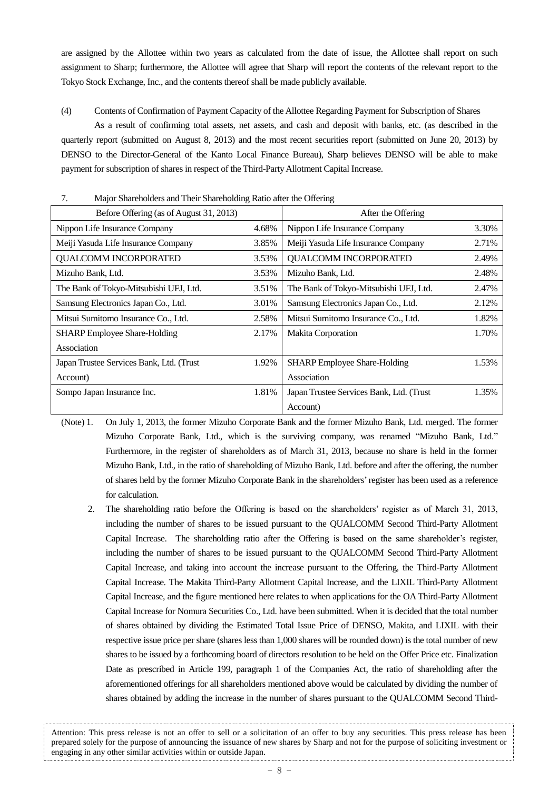are assigned by the Allottee within two years as calculated from the date of issue, the Allottee shall report on such assignment to Sharp; furthermore, the Allottee will agree that Sharp will report the contents of the relevant report to the Tokyo Stock Exchange, Inc., and the contents thereof shall be made publicly available.

(4) Contents of Confirmation of Payment Capacity of the Allottee Regarding Payment for Subscription of Shares As a result of confirming total assets, net assets, and cash and deposit with banks, etc. (as described in the quarterly report (submitted on August 8, 2013) and the most recent securities report (submitted on June 20, 2013) by DENSO to the Director-General of the Kanto Local Finance Bureau), Sharp believes DENSO will be able to make payment for subscription of shares in respect of the Third-Party Allotment Capital Increase.

| $\overline{\phantom{a}}$<br><b>Major Shareholders and Their Shareholding Katio and the Offering</b> |       |                                          |       |  |  |
|-----------------------------------------------------------------------------------------------------|-------|------------------------------------------|-------|--|--|
| Before Offering (as of August 31, 2013)                                                             |       | After the Offering                       |       |  |  |
| Nippon Life Insurance Company<br>4.68%                                                              |       | Nippon Life Insurance Company            | 3.30% |  |  |
| Meiji Yasuda Life Insurance Company                                                                 | 3.85% | Meiji Yasuda Life Insurance Company      | 2.71% |  |  |
| <b>QUALCOMM INCORPORATED</b>                                                                        | 3.53% | <b>QUALCOMM INCORPORATED</b>             | 2.49% |  |  |
| Mizuho Bank, Ltd.                                                                                   | 3.53% | Mizuho Bank, Ltd.                        | 2.48% |  |  |
| The Bank of Tokyo-Mitsubishi UFJ, Ltd.                                                              | 3.51% | The Bank of Tokyo-Mitsubishi UFJ, Ltd.   | 2.47% |  |  |
| Samsung Electronics Japan Co., Ltd.                                                                 | 3.01% | Samsung Electronics Japan Co., Ltd.      | 2.12% |  |  |
| Mitsui Sumitomo Insurance Co., Ltd.                                                                 | 2.58% | Mitsui Sumitomo Insurance Co., Ltd.      | 1.82% |  |  |
| <b>SHARP</b> Employee Share-Holding                                                                 | 2.17% | Makita Corporation                       | 1.70% |  |  |
| Association                                                                                         |       |                                          |       |  |  |
| Japan Trustee Services Bank, Ltd. (Trust                                                            | 1.92% | <b>SHARP</b> Employee Share-Holding      | 1.53% |  |  |
| Account)                                                                                            |       | Association                              |       |  |  |
| Sompo Japan Insurance Inc.                                                                          | 1.81% | Japan Trustee Services Bank, Ltd. (Trust | 1.35% |  |  |
|                                                                                                     |       | Account)                                 |       |  |  |

7. Major Shareholders and Their Shareholding Ratio after the Offering

(Note) 1. On July 1, 2013, the former Mizuho Corporate Bank and the former Mizuho Bank, Ltd. merged. The former Mizuho Corporate Bank, Ltd., which is the surviving company, was renamed "Mizuho Bank, Ltd." Furthermore, in the register of shareholders as of March 31, 2013, because no share is held in the former Mizuho Bank, Ltd., in the ratio of shareholding of Mizuho Bank, Ltd. before and after the offering, the number of shares held by the former Mizuho Corporate Bank in the shareholders'register has been used as a reference for calculation.

2. The shareholding ratio before the Offering is based on the shareholders' register as of March 31, 2013, including the number of shares to be issued pursuant to the QUALCOMM Second Third-Party Allotment Capital Increase. The shareholding ratio after the Offering is based on the same shareholder's register, including the number of shares to be issued pursuant to the QUALCOMM Second Third-Party Allotment Capital Increase, and taking into account the increase pursuant to the Offering, the Third-Party Allotment Capital Increase. The Makita Third-Party Allotment Capital Increase, and the LIXIL Third-Party Allotment Capital Increase, and the figure mentioned here relates to when applications for the OA Third-Party Allotment Capital Increase for Nomura Securities Co., Ltd. have been submitted. When it is decided that the total number of shares obtained by dividing the Estimated Total Issue Price of DENSO, Makita, and LIXIL with their respective issue price per share (shares less than 1,000 shares will be rounded down) is the total number of new shares to be issued by a forthcoming board of directors resolution to be held on the Offer Price etc. Finalization Date as prescribed in Article 199, paragraph 1 of the Companies Act, the ratio of shareholding after the aforementioned offerings for all shareholders mentioned above would be calculated by dividing the number of shares obtained by adding the increase in the number of shares pursuant to the QUALCOMM Second Third-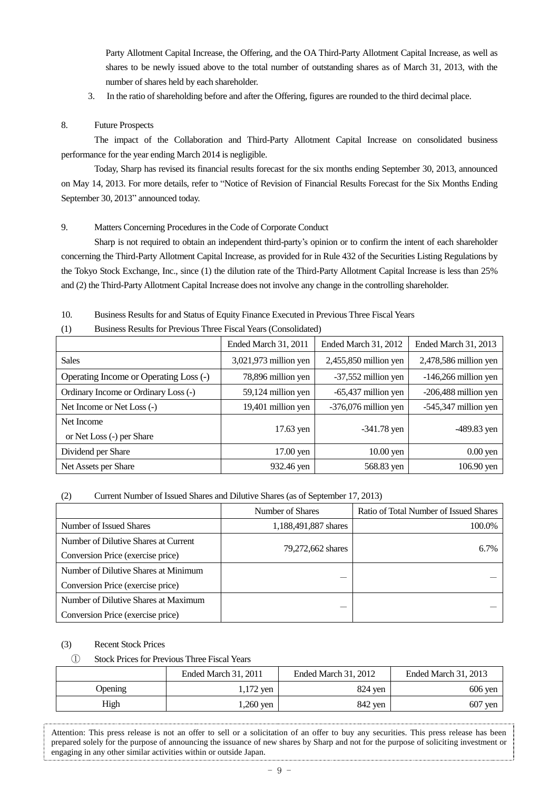Party Allotment Capital Increase, the Offering, and the OA Third-Party Allotment Capital Increase, as well as shares to be newly issued above to the total number of outstanding shares as of March 31, 2013, with the number of shares held by each shareholder.

3. In the ratio of shareholding before and after the Offering, figures are rounded to the third decimal place.

# 8. Future Prospects

The impact of the Collaboration and Third-Party Allotment Capital Increase on consolidated business performance for the year ending March 2014 is negligible.

Today, Sharp has revised its financial results forecast for the six months ending September 30, 2013, announced on May 14, 2013. For more details, refer to "Notice of Revision of Financial Results Forecast for the Six Months Ending September 30, 2013" announced today.

# 9. Matters Concerning Procedures in the Code of Corporate Conduct

Sharp is not required to obtain an independent third-party's opinion or to confirm the intent of each shareholder concerning the Third-Party Allotment Capital Increase, as provided for in Rule 432 of the Securities Listing Regulations by the Tokyo Stock Exchange, Inc., since (1) the dilution rate of the Third-Party Allotment Capital Increase is less than 25% and (2) the Third-Party Allotment Capital Increase does not involve any change in the controlling shareholder.

10. Business Results for and Status of Equity Finance Executed in Previous Three Fiscal Years

(1) Business Results for Previous Three Fiscal Years (Consolidated)

|                                        | Ended March 31, 2011  | <b>Ended March 31, 2012</b> | Ended March 31, 2013   |
|----------------------------------------|-----------------------|-----------------------------|------------------------|
| <b>Sales</b>                           | 3,021,973 million yen | $2,455,850$ million yen     | 2,478,586 million yen  |
| Operating Income or Operating Loss (-) | 78,896 million yen    | -37,552 million yen         | $-146,266$ million yen |
| Ordinary Income or Ordinary Loss (-)   | 59,124 million yen    | -65,437 million yen         | -206,488 million yen   |
| Net Income or Net Loss (-)             | 19,401 million yen    | -376,076 million yen        | -545,347 million yen   |
| Net Income                             |                       |                             |                        |
| or Net Loss (-) per Share              | 17.63 yen             | $-341.78$ yen               | $-489.83$ yen          |
| Dividend per Share                     | $17.00$ yen           | $10.00$ yen                 | $0.00$ yen             |
| Net Assets per Share                   | 932.46 yen            | 568.83 yen                  | $106.90$ yen           |

### (2) Current Number of Issued Shares and Dilutive Shares (as of September 17, 2013)

|                                      | Number of Shares     | Ratio of Total Number of Issued Shares |  |
|--------------------------------------|----------------------|----------------------------------------|--|
| Number of Issued Shares              | 1,188,491,887 shares | 100.0%                                 |  |
| Number of Dilutive Shares at Current |                      | 6.7%                                   |  |
| Conversion Price (exercise price)    | 79,272,662 shares    |                                        |  |
| Number of Dilutive Shares at Minimum |                      |                                        |  |
| Conversion Price (exercise price)    |                      |                                        |  |
| Number of Dilutive Shares at Maximum |                      |                                        |  |
| Conversion Price (exercise price)    |                      |                                        |  |

### (3) Recent Stock Prices

# ① Stock Prices for Previous Three Fiscal Years

|                | Ended March 31, 2011 | Ended March 31, 2012 | <b>Ended March 31, 2013</b> |
|----------------|----------------------|----------------------|-----------------------------|
| <b>Opening</b> | 1,172 yen            | 824 yen              | $606$ yen                   |
| High           | l,260 yen            | 842 yen              | $607$ yen                   |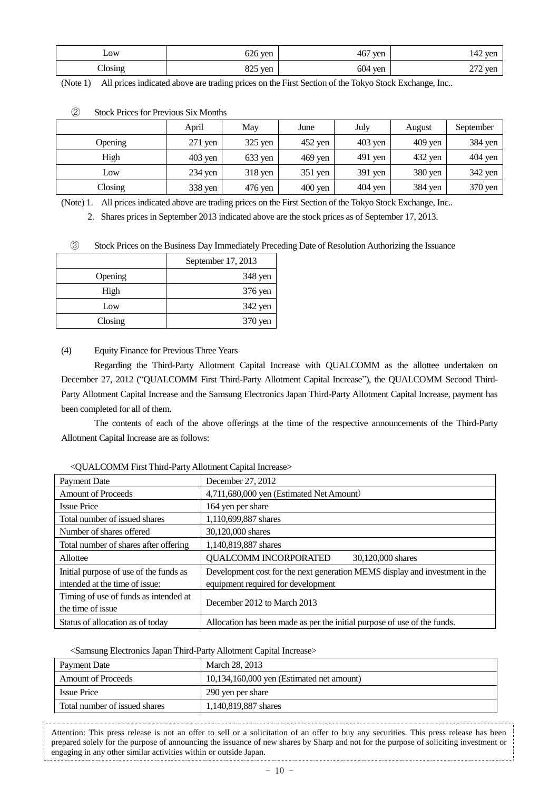| LOW               | $626$ yen          | 467<br>ven | $142^{\circ}$<br>' yen |
|-------------------|--------------------|------------|------------------------|
| $\bigcirc$ losing | on e<br>ven<br>ر∠ہ | 604<br>yen | $272$ yen              |

(Note 1) All prices indicated above are trading prices on the First Section of the Tokyo Stock Exchange, Inc..

|         | April     | May     | June              | July      | August    | September |
|---------|-----------|---------|-------------------|-----------|-----------|-----------|
| Opening | $271$ yen | 325 yen | 452 yen           | $403$ yen | $409$ yen | 384 yen   |
| High    | $403$ yen | 633 yen | $469$ yen         | $491$ yen | 432 yen   | $404$ yen |
| Low     | $234$ yen | 318 yen | $351$ yen         | 391 yen   | 380 yen   | 342 yen   |
| Closing | 338 yen   | 476 yen | $400 \text{ yen}$ | 404 yen   | 384 yen   | 370 yen   |

#### ② Stock Prices for Previous Six Months

(Note) 1. All prices indicated above are trading prices on the First Section of the Tokyo Stock Exchange, Inc..

2. Shares prices in September 2013 indicated above are the stock prices as of September 17, 2013.

③ Stock Prices on the Business Day Immediately Preceding Date of Resolution Authorizing the Issuance

|         | September 17, 2013 |
|---------|--------------------|
| Opening | 348 yen            |
| High    | 376 yen            |
| Low     | 342 yen            |
| Closing | 370 yen            |

# (4) Equity Finance for Previous Three Years

Regarding the Third-Party Allotment Capital Increase with QUALCOMM as the allottee undertaken on December 27, 2012 ("QUALCOMM First Third-Party Allotment Capital Increase"), the QUALCOMM Second Third-Party Allotment Capital Increase and the Samsung Electronics Japan Third-Party Allotment Capital Increase, payment has been completed for all of them.

The contents of each of the above offerings at the time of the respective announcements of the Third-Party Allotment Capital Increase are as follows:

| Payment Date                           | December 27, 2012                                                           |  |
|----------------------------------------|-----------------------------------------------------------------------------|--|
| <b>Amount of Proceeds</b>              | 4,711,680,000 yen (Estimated Net Amount)                                    |  |
| <b>Issue Price</b>                     | 164 yen per share                                                           |  |
| Total number of issued shares          | 1,110,699,887 shares                                                        |  |
| Number of shares offered               | 30,120,000 shares                                                           |  |
| Total number of shares after offering  | 1,140,819,887 shares                                                        |  |
| Allottee                               | QUALCOMM INCORPORATED<br>30,120,000 shares                                  |  |
| Initial purpose of use of the funds as | Development cost for the next generation MEMS display and investment in the |  |
| intended at the time of issue:         | equipment required for development                                          |  |
| Timing of use of funds as intended at  | December 2012 to March 2013                                                 |  |
| the time of issue                      |                                                                             |  |
| Status of allocation as of today       | Allocation has been made as per the initial purpose of use of the funds.    |  |

# <QUALCOMM First Third-PartyAllotment Capital Increase>

<Samsung Electronics Japan Third-Party Allotment Capital Increase>

| Payment Date                  | March 28, 2013                              |
|-------------------------------|---------------------------------------------|
| <b>Amount of Proceeds</b>     | $10,134,160,000$ yen (Estimated net amount) |
| <b>Issue Price</b>            | 290 yen per share                           |
| Total number of issued shares | 1,140,819,887 shares                        |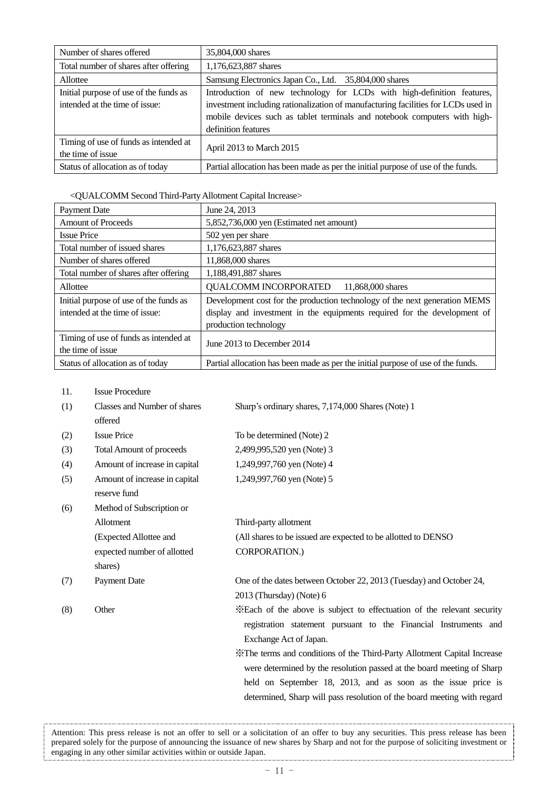| Number of shares offered               | 35,804,000 shares                                                                 |
|----------------------------------------|-----------------------------------------------------------------------------------|
| Total number of shares after offering  | 1,176,623,887 shares                                                              |
| Allottee                               | Samsung Electronics Japan Co., Ltd. 35,804,000 shares                             |
| Initial purpose of use of the funds as | Introduction of new technology for LCDs with high-definition features,            |
| intended at the time of issue:         | investment including rationalization of manufacturing facilities for LCDs used in |
|                                        | mobile devices such as tablet terminals and notebook computers with high-         |
|                                        | definition features                                                               |
| Timing of use of funds as intended at  | April 2013 to March 2015                                                          |
| the time of issue                      |                                                                                   |
| Status of allocation as of today       | Partial allocation has been made as per the initial purpose of use of the funds.  |

# <QUALCOMM Second Third-PartyAllotment Capital Increase>

| <b>Payment Date</b>                                        | June 24, 2013                                                                    |
|------------------------------------------------------------|----------------------------------------------------------------------------------|
| <b>Amount of Proceeds</b>                                  | 5,852,736,000 yen (Estimated net amount)                                         |
| <b>Issue Price</b>                                         | 502 yen per share                                                                |
| Total number of issued shares                              | 1,176,623,887 shares                                                             |
| Number of shares offered                                   | 11,868,000 shares                                                                |
| Total number of shares after offering                      | 1,188,491,887 shares                                                             |
| Allottee                                                   | <b>QUALCOMM INCORPORATED</b><br>11,868,000 shares                                |
| Initial purpose of use of the funds as                     | Development cost for the production technology of the next generation MEMS       |
| intended at the time of issue:                             | display and investment in the equipments required for the development of         |
|                                                            | production technology                                                            |
| Timing of use of funds as intended at<br>the time of issue | June 2013 to December 2014                                                       |
| Status of allocation as of today                           | Partial allocation has been made as per the initial purpose of use of the funds. |

11. Issue Procedure

| (1) | Classes and Number of shares    | Sharp's ordinary shares, 7,174,000 Shares (Note) 1                       |
|-----|---------------------------------|--------------------------------------------------------------------------|
|     | offered                         |                                                                          |
| (2) | <b>Issue Price</b>              | To be determined (Note) 2                                                |
| (3) | <b>Total Amount of proceeds</b> | 2,499,995,520 yen (Note) 3                                               |
| (4) | Amount of increase in capital   | 1,249,997,760 yen (Note) 4                                               |
| (5) | Amount of increase in capital   | 1,249,997,760 yen (Note) 5                                               |
|     | reserve fund                    |                                                                          |
| (6) | Method of Subscription or       |                                                                          |
|     | Allotment                       | Third-party allotment                                                    |
|     | (Expected Allottee and          | (All shares to be issued are expected to be allotted to DENSO            |
|     | expected number of allotted     | CORPORATION.)                                                            |
|     | shares)                         |                                                                          |
| (7) | Payment Date                    | One of the dates between October 22, 2013 (Tuesday) and October 24,      |
|     |                                 | 2013 (Thursday) (Note) 6                                                 |
| (8) | Other                           | *Each of the above is subject to effectuation of the relevant security   |
|     |                                 | registration statement pursuant to the Financial Instruments and         |
|     |                                 | Exchange Act of Japan.                                                   |
|     |                                 | X The terms and conditions of the Third-Party Allotment Capital Increase |
|     |                                 | were determined by the resolution passed at the board meeting of Sharp   |
|     |                                 | held on September 18, 2013, and as soon as the issue price is            |
|     |                                 | determined, Sharp will pass resolution of the board meeting with regard  |